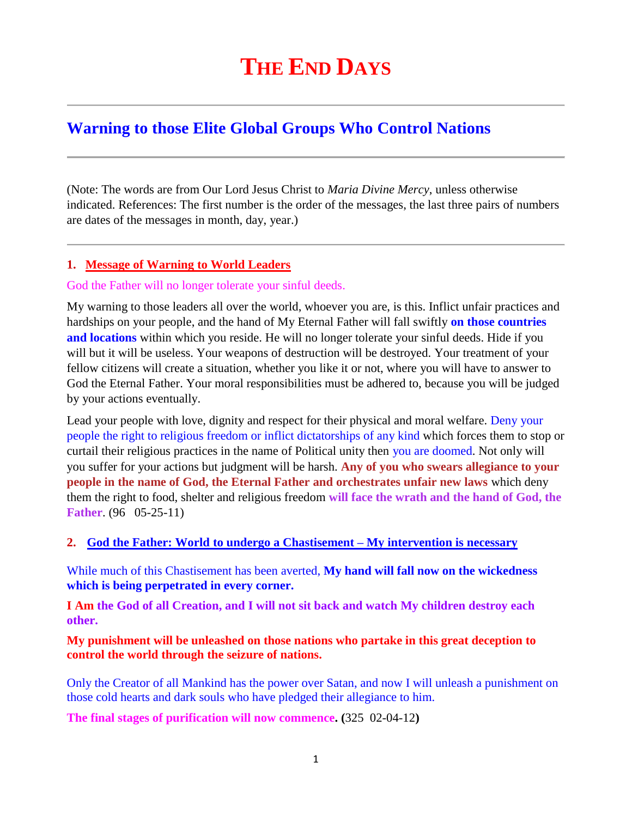# **THE END DAYS**

# **Warning to those Elite Global Groups Who Control Nations**

(Note: The words are from Our Lord Jesus Christ to *Maria Divine Mercy*, unless otherwise indicated. References: The first number is the order of the messages, the last three pairs of numbers are dates of the messages in month, day, year.)

#### **1. [Message of Warning to World Leaders](http://www.thewarningsecondcoming.com/message-of-warning-to-world-leaders/)**

#### God the Father will no longer tolerate your sinful deeds.

My warning to those leaders all over the world, whoever you are, is this. Inflict unfair practices and hardships on your people, and the hand of My Eternal Father will fall swiftly **on those countries and locations** within which you reside. He will no longer tolerate your sinful deeds. Hide if you will but it will be useless. Your weapons of destruction will be destroyed. Your treatment of your fellow citizens will create a situation, whether you like it or not, where you will have to answer to God the Eternal Father. Your moral responsibilities must be adhered to, because you will be judged by your actions eventually.

Lead your people with love, dignity and respect for their physical and moral welfare. Deny your people the right to religious freedom or inflict dictatorships of any kind which forces them to stop or curtail their religious practices in the name of Political unity then you are doomed. Not only will you suffer for your actions but judgment will be harsh. **Any of you who swears allegiance to your people in the name of God, the Eternal Father and orchestrates unfair new laws** which deny them the right to food, shelter and religious freedom **will face the wrath and the hand of God, the Father**. (96 05-25-11)

#### **2. [God the Father: World to undergo a Chastisement –](http://www.thewarningsecondcoming.com/god-the-father-world-to-undergo-a-chastisement-my-intervention-is-necessary/) My intervention is necessary**

While much of this Chastisement has been averted, **My hand will fall now on the wickedness which is being perpetrated in every corner.**

**I Am the God of all Creation, and I will not sit back and watch My children destroy each other.**

#### **My punishment will be unleashed on those nations who partake in this great deception to control the world through the seizure of nations.**

Only the Creator of all Mankind has the power over Satan, and now I will unleash a punishment on those cold hearts and dark souls who have pledged their allegiance to him.

**The final stages of purification will now commence. (**325 02-04-12**)**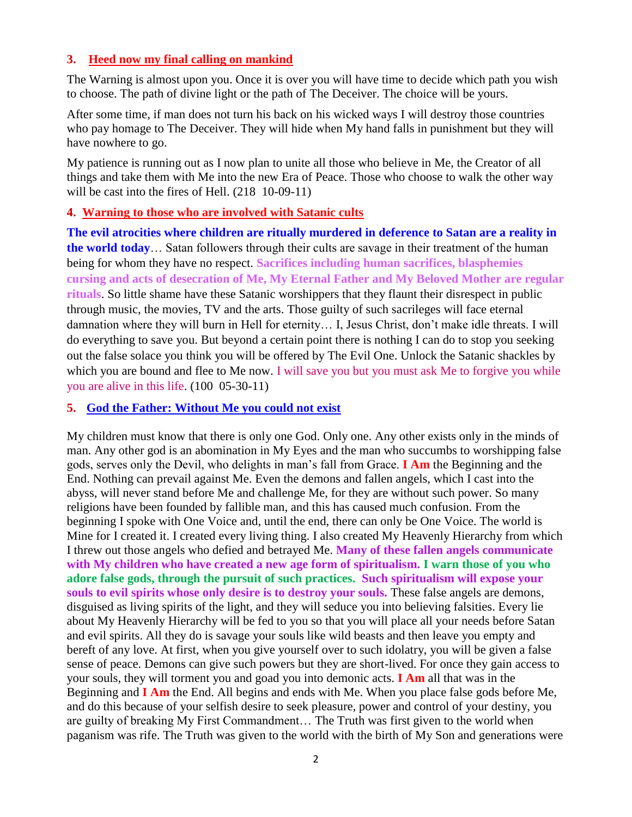#### **3. Heed now my final calling on mankind**

The Warning is almost upon you. Once it is over you will have time to decide which path you wish to choose. The path of divine light or the path of The Deceiver. The choice will be yours.

After some time, if man does not turn his back on his wicked ways I will destroy those countries who pay homage to The Deceiver. They will hide when My hand falls in punishment but they will have nowhere to go.

My patience is running out as I now plan to unite all those who believe in Me, the Creator of all things and take them with Me into the new Era of Peace. Those who choose to walk the other way will be cast into the fires of Hell. (218 10-09-11)

#### **4. [Warning to those who are involved with Satanic cults](http://www.thewarningsecondcoming.com/warning-to-those-who-are-involved-with-sata)**

**The evil atrocities where children are ritually murdered in deference to Satan are a reality in the world today**… Satan followers through their cults are savage in their treatment of the human being for whom they have no respect. **Sacrifices including human sacrifices, blasphemies cursing and acts of desecration of Me, My Eternal Father and My Beloved Mother are regular rituals**. So little shame have these Satanic worshippers that they flaunt their disrespect in public through music, the movies, TV and the arts. Those guilty of such sacrileges will face eternal damnation where they will burn in Hell for eternity… I, Jesus Christ, don't make idle threats. I will do everything to save you. But beyond a certain point there is nothing I can do to stop you seeking out the false solace you think you will be offered by The Evil One. Unlock the Satanic shackles by which you are bound and flee to Me now. I will save you but you must ask Me to forgive you while you are alive in this life. (100 05-30-11)

#### **5. [God the Father: Without Me you could not exist](http://www.thewarningsecondcoming.com/god-the-father-without-me-you-could-not-exist/)**

My children must know that there is only one God. Only one. Any other exists only in the minds of man. Any other god is an abomination in My Eyes and the man who succumbs to worshipping false gods, serves only the Devil, who delights in man's fall from Grace. **I Am** the Beginning and the End. Nothing can prevail against Me. Even the demons and fallen angels, which I cast into the abyss, will never stand before Me and challenge Me, for they are without such power. So many religions have been founded by fallible man, and this has caused much confusion. From the beginning I spoke with One Voice and, until the end, there can only be One Voice. The world is Mine for I created it. I created every living thing. I also created My Heavenly Hierarchy from which I threw out those angels who defied and betrayed Me. **Many of these fallen angels communicate with My children who have created a new age form of spiritualism. I warn those of you who adore false gods, through the pursuit of such practices. Such spiritualism will expose your souls to evil spirits whose only desire is to destroy your souls.** These false angels are demons, disguised as living spirits of the light, and they will seduce you into believing falsities. Every lie about My Heavenly Hierarchy will be fed to you so that you will place all your needs before Satan and evil spirits. All they do is savage your souls like wild beasts and then leave you empty and bereft of any love. At first, when you give yourself over to such idolatry, you will be given a false sense of peace. Demons can give such powers but they are short-lived. For once they gain access to your souls, they will torment you and goad you into demonic acts. **I Am** all that was in the Beginning and **I Am** the End. All begins and ends with Me. When you place false gods before Me, and do this because of your selfish desire to seek pleasure, power and control of your destiny, you are guilty of breaking My First Commandment… The Truth was first given to the world when paganism was rife. The Truth was given to the world with the birth of My Son and generations were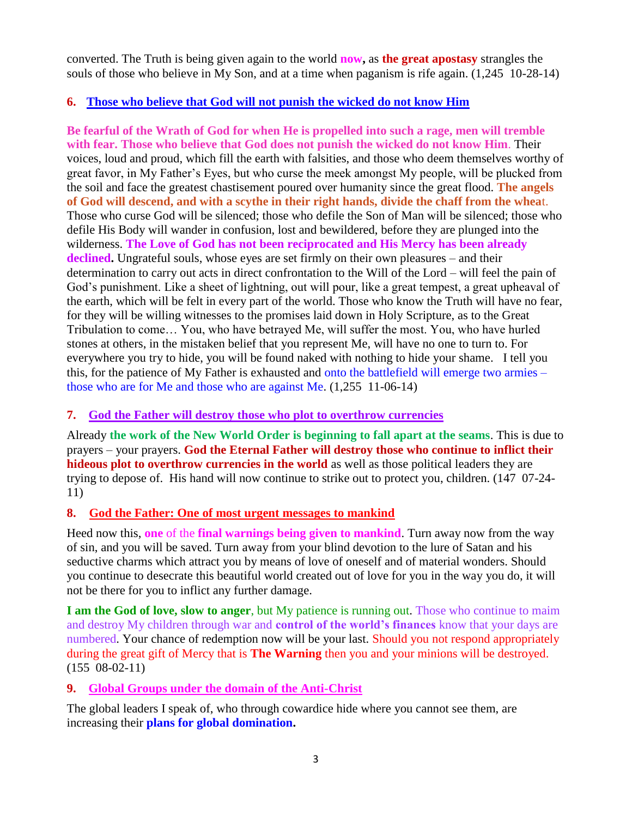converted. The Truth is being given again to the world **now,** as **the great apostasy** strangles the souls of those who believe in My Son, and at a time when paganism is rife again. (1,245 10-28-14)

# **6. [Those who believe that God will not punish the wicked do not know Him](http://www.thewarningsecondcoming.com/those-who-do-not-believe-that-god-will-not-punish-the-wicked-do-not-know-him/)**

**Be fearful of the Wrath of God for when He is propelled into such a rage, men will tremble with fear. Those who believe that God does not punish the wicked do not know Him**. Their voices, loud and proud, which fill the earth with falsities, and those who deem themselves worthy of great favor, in My Father's Eyes, but who curse the meek amongst My people, will be plucked from the soil and face the greatest chastisement poured over humanity since the great flood. **The angels of God will descend, and with a scythe in their right hands, divide the chaff from the whea**t. Those who curse God will be silenced; those who defile the Son of Man will be silenced; those who defile His Body will wander in confusion, lost and bewildered, before they are plunged into the wilderness. **The Love of God has not been reciprocated and His Mercy has been already declined.** Ungrateful souls, whose eyes are set firmly on their own pleasures – and their determination to carry out acts in direct confrontation to the Will of the Lord – will feel the pain of God's punishment. Like a sheet of lightning, out will pour, like a great tempest, a great upheaval of the earth, which will be felt in every part of the world. Those who know the Truth will have no fear, for they will be willing witnesses to the promises laid down in Holy Scripture, as to the Great Tribulation to come… You, who have betrayed Me, will suffer the most. You, who have hurled stones at others, in the mistaken belief that you represent Me, will have no one to turn to. For everywhere you try to hide, you will be found naked with nothing to hide your shame. I tell you this, for the patience of My Father is exhausted and onto the battlefield will emerge two armies – those who are for Me and those who are against Me. (1,255 11-06-14)

# **7. [God the Father will destroy those who plot to overthrow currencies](http://www.thewarningsecondcoming.com/god-the-father-will-destroy-the-plot-to-overthrow-currencies/)**

Already **the work of the New World Order is beginning to fall apart at the seams**. This is due to prayers – your prayers. **God the Eternal Father will destroy those who continue to inflict their hideous plot to overthrow currencies in the world** as well as those political leaders they are trying to depose of. His hand will now continue to strike out to protect you, children. (147 07-24- 11)

# **8. God the Father: [One of most urgent messages to mankind](http://www.thewarningsecondcoming.com/god-the-father-one-most-urgent-message-to-mankind/)**

Heed now this, **one** of the **final warnings being given to mankind**. Turn away now from the way of sin, and you will be saved. Turn away from your blind devotion to the lure of Satan and his seductive charms which attract you by means of love of oneself and of material wonders. Should you continue to desecrate this beautiful world created out of love for you in the way you do, it will not be there for you to inflict any further damage.

**I am the God of love, slow to anger**, but My patience is running out. Those who continue to maim and destroy My children through war and **control of the world's finances** know that your days are numbered. Your chance of redemption now will be your last. Should you not respond appropriately during the great gift of Mercy that is **The Warning** then you and your minions will be destroyed. (155 08-02-11)

#### **9. [Global Groups under the domain of the Anti-Christ](http://www.thewarningsecondcoming.com/global-groups-under-the-domain-of-the-anti-christ/)**

The global leaders I speak of, who through cowardice hide where you cannot see them, are increasing their **plans for global domination.**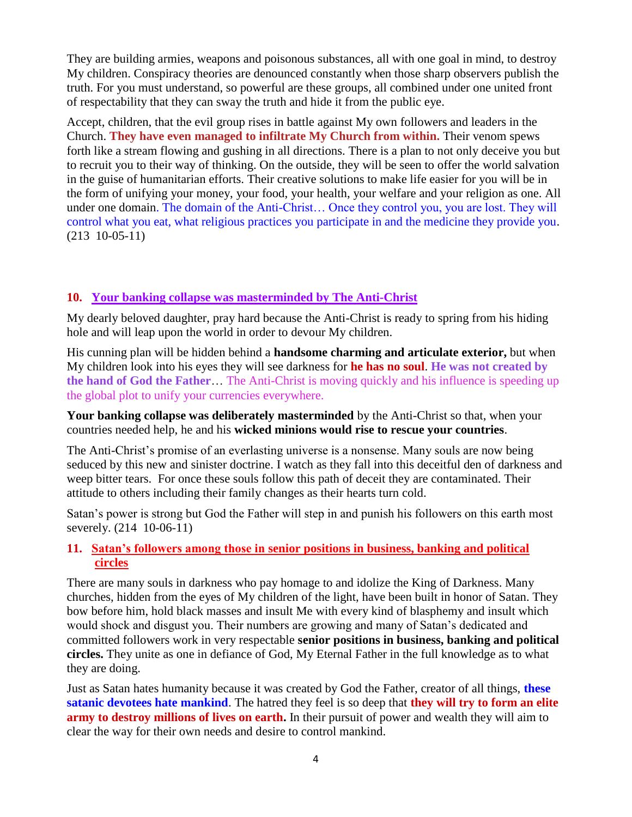They are building armies, weapons and poisonous substances, all with one goal in mind, to destroy My children. Conspiracy theories are denounced constantly when those sharp observers publish the truth. For you must understand, so powerful are these groups, all combined under one united front of respectability that they can sway the truth and hide it from the public eye.

Accept, children, that the evil group rises in battle against My own followers and leaders in the Church. **They have even managed to infiltrate My Church from within.** Their venom spews forth like a stream flowing and gushing in all directions. There is a plan to not only deceive you but to recruit you to their way of thinking. On the outside, they will be seen to offer the world salvation in the guise of humanitarian efforts. Their creative solutions to make life easier for you will be in the form of unifying your money, your food, your health, your welfare and your religion as one. All under one domain. The domain of the Anti-Christ… Once they control you, you are lost. They will control what you eat, what religious practices you participate in and the medicine they provide you. (213 10-05-11)

#### **10. [Your banking collapse was masterminded by The Anti-Christ](http://www.thewarningsecondcoming.com/your-banking-collapse-was-masterminded-by-the-anti-christ/)**

My dearly beloved daughter, pray hard because the Anti-Christ is ready to spring from his hiding hole and will leap upon the world in order to devour My children.

His cunning plan will be hidden behind a **handsome charming and articulate exterior,** but when My children look into his eyes they will see darkness for **he has no soul**. **He was not created by the hand of God the Father**… The Anti-Christ is moving quickly and his influence is speeding up the global plot to unify your currencies everywhere.

**Your banking collapse was deliberately masterminded** by the Anti-Christ so that, when your countries needed help, he and his **wicked minions would rise to rescue your countries**.

The Anti-Christ's promise of an everlasting universe is a nonsense. Many souls are now being seduced by this new and sinister doctrine. I watch as they fall into this deceitful den of darkness and weep bitter tears. For once these souls follow this path of deceit they are contaminated. Their attitude to others including their family changes as their hearts turn cold.

Satan's power is strong but God the Father will step in and punish his followers on this earth most severely. (214 10-06-11)

#### **11. Satan's followers among those in senior positions in business, banking and political circles**

There are many souls in darkness who pay homage to and idolize the King of Darkness. Many churches, hidden from the eyes of My children of the light, have been built in honor of Satan. They bow before him, hold black masses and insult Me with every kind of blasphemy and insult which would shock and disgust you. Their numbers are growing and many of Satan's dedicated and committed followers work in very respectable **senior positions in business, banking and political circles.** They unite as one in defiance of God, My Eternal Father in the full knowledge as to what they are doing.

Just as Satan hates humanity because it was created by God the Father, creator of all things, **these satanic devotees hate mankind**. The hatred they feel is so deep that **they will try to form an elite army to destroy millions of lives on earth.** In their pursuit of power and wealth they will aim to clear the way for their own needs and desire to control mankind.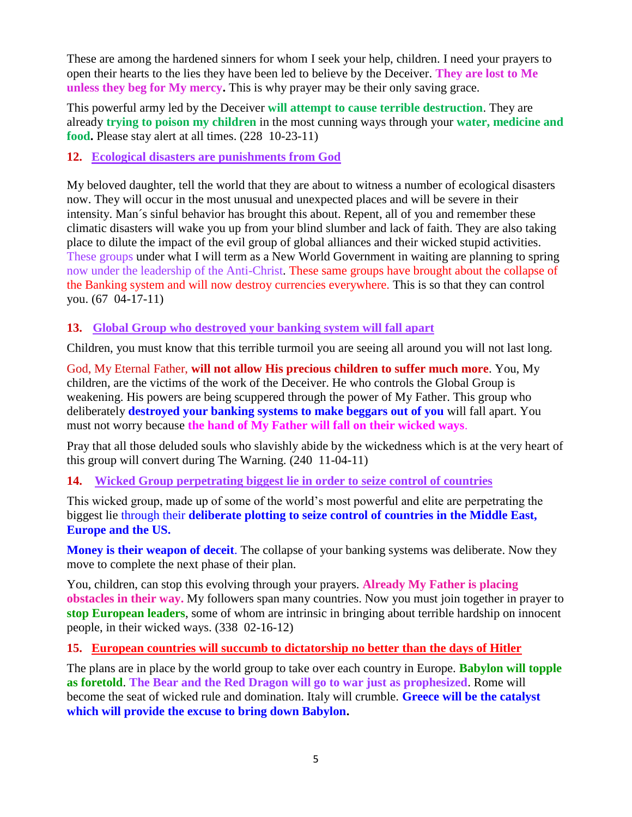These are among the hardened sinners for whom I seek your help, children. I need your prayers to open their hearts to the lies they have been led to believe by the Deceiver. **They are lost to Me unless they beg for My mercy.** This is why prayer may be their only saving grace.

This powerful army led by the Deceiver **will attempt to cause terrible destruction**. They are already **trying to poison my children** in the most cunning ways through your **water, medicine and food.** Please stay alert at all times. (228 10-23-11)

**12. Ecological disasters are punishments from God**

My beloved daughter, tell the world that they are about to witness a number of ecological disasters now. They will occur in the most unusual and unexpected places and will be severe in their intensity. Man´s sinful behavior has brought this about. Repent, all of you and remember these climatic disasters will wake you up from your blind slumber and lack of faith. They are also taking place to dilute the impact of the evil group of global alliances and their wicked stupid activities. These groups under what I will term as a New World Government in waiting are planning to spring now under the leadership of the Anti-Christ. These same groups have brought about the collapse of the Banking system and will now destroy currencies everywhere. This is so that they can control you. (67 04-17-11)

# **13. [Global Group who destroyed your banking system will fall apart](http://www.thewarningsecondcoming.com/global-group-who-destroyed-your-banking-system-will-fall-apart/)**

Children, you must know that this terrible turmoil you are seeing all around you will not last long.

God, My Eternal Father, **will not allow His precious children to suffer much more**. You, My children, are the victims of the work of the Deceiver. He who controls the Global Group is weakening. His powers are being scuppered through the power of My Father. This group who deliberately **destroyed your banking systems to make beggars out of you** will fall apart. You must not worry because **the hand of My Father will fall on their wicked ways**.

Pray that all those deluded souls who slavishly abide by the wickedness which is at the very heart of this group will convert during The Warning. (240 11-04-11)

# **14. [Wicked Group perpetrating biggest lie in order to seize control of countries](http://www.thewarningsecondcoming.com/wicked-group-perpetrating-biggest-lie-in-order-to-seize-control-of-countries/)**

This wicked group, made up of some of the world's most powerful and elite are perpetrating the biggest lie through their **deliberate plotting to seize control of countries in the Middle East, Europe and the US.**

**Money is their weapon of deceit**. The collapse of your banking systems was deliberate. Now they move to complete the next phase of their plan.

You, children, can stop this evolving through your prayers. **Already My Father is placing obstacles in their way.** My followers span many countries. Now you must join together in prayer to **stop European leaders**, some of whom are intrinsic in bringing about terrible hardship on innocent people, in their wicked ways. (338 02-16-12)

#### **15. [European countries will succumb to dictatorship no better than the days of Hitler](http://www.thewarningsecondcoming.com/european-countries-will-succumb-to-dictatorship-no-better-than-the-days-of-hitler/)**

The plans are in place by the world group to take over each country in Europe. **Babylon will topple as foretold**. **The Bear and the Red Dragon will go to war just as prophesized**. Rome will become the seat of wicked rule and domination. Italy will crumble. **Greece will be the catalyst which will provide the excuse to bring down Babylon.**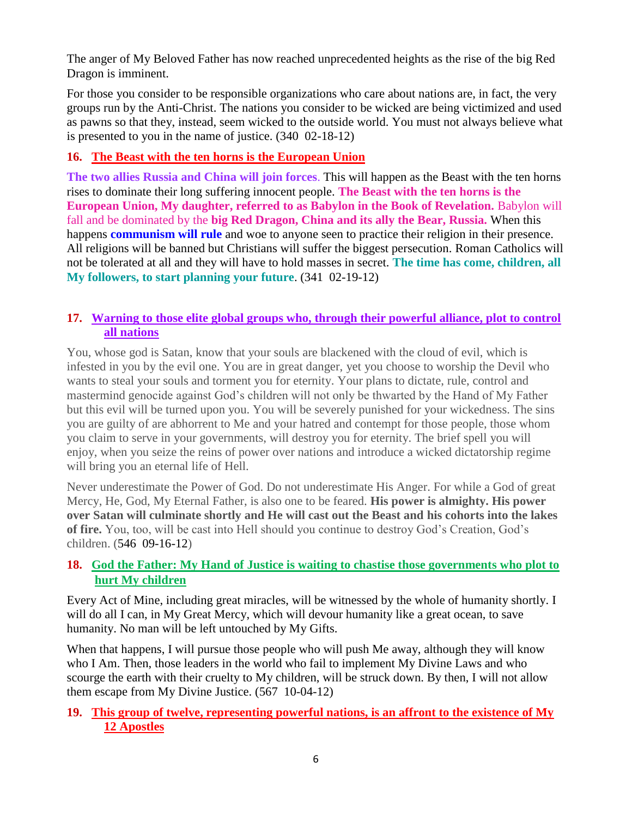The anger of My Beloved Father has now reached unprecedented heights as the rise of the big Red Dragon is imminent.

For those you consider to be responsible organizations who care about nations are, in fact, the very groups run by the Anti-Christ. The nations you consider to be wicked are being victimized and used as pawns so that they, instead, seem wicked to the outside world. You must not always believe what is presented to you in the name of justice. (340 02-18-12)

# **16. [The Beast with the ten horns is the European Union](http://www.thewarningsecondcoming.com/the-beast-with-the-ten-horns-is-the-european-union/)**

**The two allies Russia and China will join forces**. This will happen as the Beast with the ten horns rises to dominate their long suffering innocent people. **The Beast with the ten horns is the European Union, My daughter, referred to as Babylon in the Book of Revelation.** Babylon will fall and be dominated by the **big Red Dragon, China and its ally the Bear, Russia.** When this happens **communism will rule** and woe to anyone seen to practice their religion in their presence. All religions will be banned but Christians will suffer the biggest persecution. Roman Catholics will not be tolerated at all and they will have to hold masses in secret. **The time has come, children, all My followers, to start planning your future**. (341 02-19-12)

# **17. [Warning to those elite global groups who, through their powerful alliance, plot to control](http://www.thewarningsecondcoming.com/warning-to-those-elite-global-groups-who-through-their-powerful-alliance-plot-to-control-all-nations/)  [all nations](http://www.thewarningsecondcoming.com/warning-to-those-elite-global-groups-who-through-their-powerful-alliance-plot-to-control-all-nations/)**

You, whose god is Satan, know that your souls are blackened with the cloud of evil, which is infested in you by the evil one. You are in great danger, yet you choose to worship the Devil who wants to steal your souls and torment you for eternity. Your plans to dictate, rule, control and mastermind genocide against God's children will not only be thwarted by the Hand of My Father but this evil will be turned upon you. You will be severely punished for your wickedness. The sins you are guilty of are abhorrent to Me and your hatred and contempt for those people, those whom you claim to serve in your governments, will destroy you for eternity. The brief spell you will enjoy, when you seize the reins of power over nations and introduce a wicked dictatorship regime will bring you an eternal life of Hell.

Never underestimate the Power of God. Do not underestimate His Anger. For while a God of great Mercy, He, God, My Eternal Father, is also one to be feared. **His power is almighty. His power over Satan will culminate shortly and He will cast out the Beast and his cohorts into the lakes of fire.** You, too, will be cast into Hell should you continue to destroy God's Creation, God's children. (546 09-16-12)

#### **18. [God the Father: My Hand of Justice is waiting to chastise those governments who plot to](http://www.thewarningsecondcoming.com/god-the-father-my-hand-of-justice-is-waiting-to-chastise-those-governments-who-plot-to-hurt-my-children/)  [hurt My children](http://www.thewarningsecondcoming.com/god-the-father-my-hand-of-justice-is-waiting-to-chastise-those-governments-who-plot-to-hurt-my-children/)**

Every Act of Mine, including great miracles, will be witnessed by the whole of humanity shortly. I will do all I can, in My Great Mercy, which will devour humanity like a great ocean, to save humanity. No man will be left untouched by My Gifts.

When that happens, I will pursue those people who will push Me away, although they will know who I Am. Then, those leaders in the world who fail to implement My Divine Laws and who scourge the earth with their cruelty to My children, will be struck down. By then, I will not allow them escape from My Divine Justice. (567 10-04-12)

#### **19. [This group of twelve, representing powerful nations, is an affront to the existence of My](http://www.thewarningsecondcoming.com/this-group-of-twelve-representing-powerful-nations-is-an-affront-to-the-existence-of-my-12-apostles/)  [12 Apostles](http://www.thewarningsecondcoming.com/this-group-of-twelve-representing-powerful-nations-is-an-affront-to-the-existence-of-my-12-apostles/)**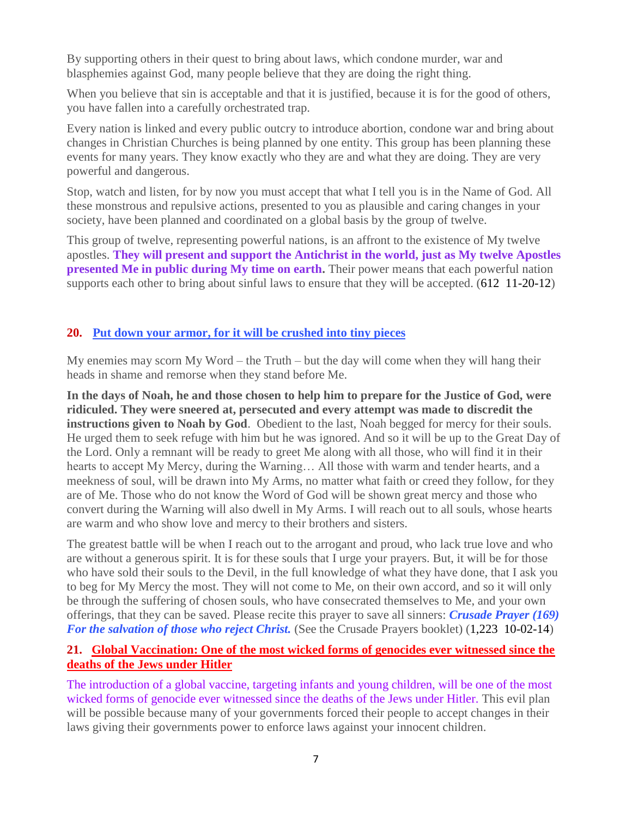By supporting others in their quest to bring about laws, which condone murder, war and blasphemies against God, many people believe that they are doing the right thing.

When you believe that sin is acceptable and that it is justified, because it is for the good of others, you have fallen into a carefully orchestrated trap.

Every nation is linked and every public outcry to introduce abortion, condone war and bring about changes in Christian Churches is being planned by one entity. This group has been planning these events for many years. They know exactly who they are and what they are doing. They are very powerful and dangerous.

Stop, watch and listen, for by now you must accept that what I tell you is in the Name of God. All these monstrous and repulsive actions, presented to you as plausible and caring changes in your society, have been planned and coordinated on a global basis by the group of twelve.

This group of twelve, representing powerful nations, is an affront to the existence of My twelve apostles. **They will present and support the Antichrist in the world, just as My twelve Apostles presented Me in public during My time on earth.** Their power means that each powerful nation supports each other to bring about sinful laws to ensure that they will be accepted. (612 11-20-12)

#### **20. [Put down your armor, for it will be crushed into tiny pieces](http://www.thewarningsecondcoming.com/put-down-your-armour-for-it-will-be-crushed-into-tiny-pieces/)**

My enemies may scorn My Word – the Truth – but the day will come when they will hang their heads in shame and remorse when they stand before Me.

**In the days of Noah, he and those chosen to help him to prepare for the Justice of God, were ridiculed. They were sneered at, persecuted and every attempt was made to discredit the instructions given to Noah by God**. Obedient to the last, Noah begged for mercy for their souls. He urged them to seek refuge with him but he was ignored. And so it will be up to the Great Day of the Lord. Only a remnant will be ready to greet Me along with all those, who will find it in their hearts to accept My Mercy, during the Warning… All those with warm and tender hearts, and a meekness of soul, will be drawn into My Arms, no matter what faith or creed they follow, for they are of Me. Those who do not know the Word of God will be shown great mercy and those who convert during the Warning will also dwell in My Arms. I will reach out to all souls, whose hearts are warm and who show love and mercy to their brothers and sisters.

The greatest battle will be when I reach out to the arrogant and proud, who lack true love and who are without a generous spirit. It is for these souls that I urge your prayers. But, it will be for those who have sold their souls to the Devil, in the full knowledge of what they have done, that I ask you to beg for My Mercy the most. They will not come to Me, on their own accord, and so it will only be through the suffering of chosen souls, who have consecrated themselves to Me, and your own offerings, that they can be saved. Please recite this prayer to save all sinners: *Crusade Prayer (169) For the salvation of those who reject Christ.* (See the Crusade Prayers booklet) (1,223 10-02-14)

#### **21. [Global Vaccination: One of the most wicked forms of genocides ever witnessed since the](http://www.thewarningsecondcoming.com/global-vaccination-one-of-the-most-wicked-forms-of-genocides-ever-witnessed-since-the-deaths-of-the-jews-under-hitler/)  [deaths of the Jews under Hitler](http://www.thewarningsecondcoming.com/global-vaccination-one-of-the-most-wicked-forms-of-genocides-ever-witnessed-since-the-deaths-of-the-jews-under-hitler/)**

The introduction of a global vaccine, targeting infants and young children, will be one of the most wicked forms of genocide ever witnessed since the deaths of the Jews under Hitler. This evil plan will be possible because many of your governments forced their people to accept changes in their laws giving their governments power to enforce laws against your innocent children.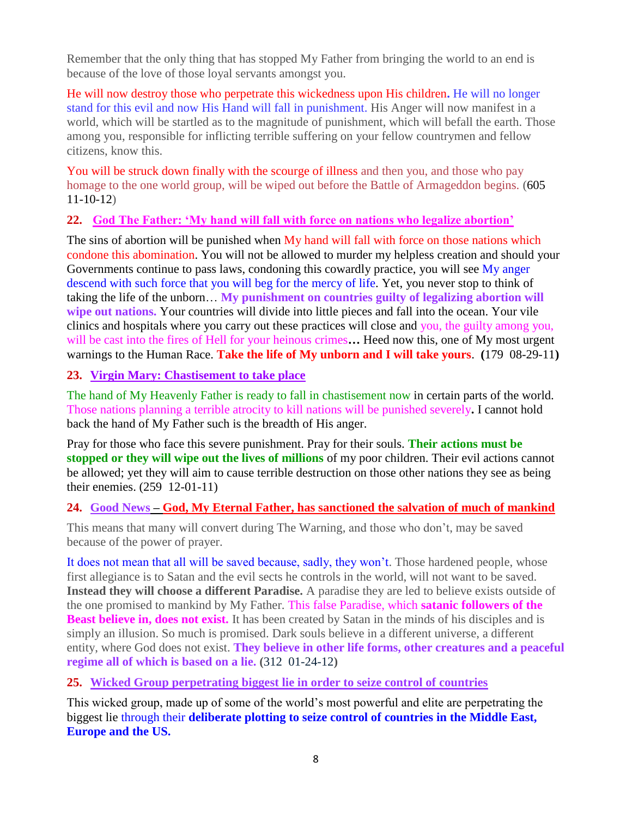Remember that the only thing that has stopped My Father from bringing the world to an end is because of the love of those loyal servants amongst you.

He will now destroy those who perpetrate this wickedness upon His children**.** He will no longer stand for this evil and now His Hand will fall in punishment. His Anger will now manifest in a world, which will be startled as to the magnitude of punishment, which will befall the earth. Those among you, responsible for inflicting terrible suffering on your fellow countrymen and fellow citizens, know this.

You will be struck down finally with the scourge of illness and then you, and those who pay homage to the one world group, will be wiped out before the Battle of Armageddon begins. (605 11-10-12)

#### **22. God The Father: 'My hand [will fall with force on nations who legalize abortion'](http://www.thewarningsecondcoming.com/god-the-father-my-hand-will-fall-with-force-on-nations-who-legalise-abortion/)**

The sins of abortion will be punished when My hand will fall with force on those nations which condone this abomination. You will not be allowed to murder my helpless creation and should your Governments continue to pass laws, condoning this cowardly practice, you will see My anger descend with such force that you will beg for the mercy of life. Yet, you never stop to think of taking the life of the unborn… **My punishment on countries guilty of legalizing abortion will wipe out nations.** Your countries will divide into little pieces and fall into the ocean. Your vile clinics and hospitals where you carry out these practices will close and you, the guilty among you, will be cast into the fires of Hell for your heinous crimes**…** Heed now this, one of My most urgent warnings to the Human Race. **Take the life of My unborn and I will take yours**. **(**179 08-29-11**)**

#### **23. Virgin Mary: Chastisement to take place**

The hand of My Heavenly Father is ready to fall in chastisement now in certain parts of the world. Those nations planning a terrible atrocity to kill nations will be punished severely**.** I cannot hold back the hand of My Father such is the breadth of His anger.

Pray for those who face this severe punishment. Pray for their souls. **Their actions must be stopped or they will wipe out the lives of millions** of my poor children. Their evil actions cannot be allowed; yet they will aim to cause terrible destruction on those other nations they see as being their enemies. (259 12-01-11)

# **24. Good News – [God, My Eternal Father, has sanctioned the salvation of much of mankind](http://www.thewarningsecondcoming.com/good-news-god-my-eternal-father-has-sanctioned-the-salvation-of-much-of-mankind/)**

This means that many will convert during The Warning, and those who don't, may be saved because of the power of prayer.

It does not mean that all will be saved because, sadly, they won't. Those hardened people, whose first allegiance is to Satan and the evil sects he controls in the world, will not want to be saved. **Instead they will choose a different Paradise.** A paradise they are led to believe exists outside of the one promised to mankind by My Father. This false Paradise, which **satanic followers of the Beast believe in, does not exist.** It has been created by Satan in the minds of his disciples and is simply an illusion. So much is promised. Dark souls believe in a different universe, a different entity, where God does not exist. **They believe in other life forms, other creatures and a peaceful regime all of which is based on a lie. (**312 01-24-12**)**

#### **25. [Wicked Group perpetrating biggest lie in order to seize control of countries](http://www.thewarningsecondcoming.com/wicked-group-perpetrating-biggest-lie-in-order-to-seize-control-of-countries/)**

This wicked group, made up of some of the world's most powerful and elite are perpetrating the biggest lie through their **deliberate plotting to seize control of countries in the Middle East, Europe and the US.**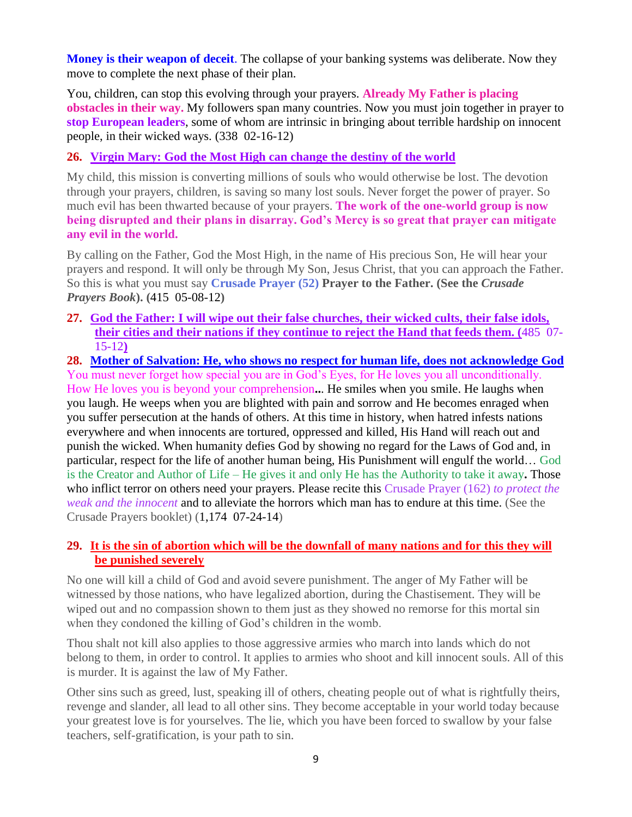**Money is their weapon of deceit**. The collapse of your banking systems was deliberate. Now they move to complete the next phase of their plan.

You, children, can stop this evolving through your prayers. **Already My Father is placing obstacles in their way.** My followers span many countries. Now you must join together in prayer to **stop European leaders**, some of whom are intrinsic in bringing about terrible hardship on innocent people, in their wicked ways. (338 02-16-12)

# **26. [Virgin Mary: God the Most High can change the destiny of the world](http://www.thewarningsecondcoming.com/virgin-mary-god-the-most-high-can-change-the-destiny-of-the-world/)**

My child, this mission is converting millions of souls who would otherwise be lost. The devotion through your prayers, children, is saving so many lost souls. Never forget the power of prayer. So much evil has been thwarted because of your prayers. **The work of the one-world group is now being disrupted and their plans in disarray. God's Mercy is so great that prayer can mitigate any evil in the world.**

By calling on the Father, God the Most High, in the name of His precious Son, He will hear your prayers and respond. It will only be through My Son, Jesus Christ, that you can approach the Father. So this is what you must say **Crusade Prayer (52) Prayer to the Father. (See the** *Crusade Prayers Book***). (**415 05-08-12**)**

**27. [God the Father: I will wipe out their false churches, their wicked cults, their false idols,](http://www.thewarningsecondcoming.com/god-the-father-i-will-wipe-out-their-false-churches-their-wicked-cults-their-false-idols-their-cities-and-their-nations/)  [their cities and their nations](http://www.thewarningsecondcoming.com/god-the-father-i-will-wipe-out-their-false-churches-their-wicked-cults-their-false-idols-their-cities-and-their-nations/) if they continue to reject the Hand that feeds them. (**485 07- 15-12**)**

**28. [Mother of Salvation: He, who shows no respect for human life, does not acknowledge God](http://www.thewarningsecondcoming.com/mother-of-salvation-he-who-shows-no-respect-for-human-life-does-not-acknowledge-god/)** You must never forget how special you are in God's Eyes, for He loves you all unconditionally. How He loves you is beyond your comprehension**..**. He smiles when you smile. He laughs when you laugh. He weeps when you are blighted with pain and sorrow and He becomes enraged when you suffer persecution at the hands of others. At this time in history, when hatred infests nations everywhere and when innocents are tortured, oppressed and killed, His Hand will reach out and punish the wicked. When humanity defies God by showing no regard for the Laws of God and, in particular, respect for the life of another human being, His Punishment will engulf the world… God is the Creator and Author of Life – He gives it and only He has the Authority to take it away**.** Those who inflict terror on others need your prayers. Please recite this Crusade Prayer (162) *to protect the weak and the innocent* and to alleviate the horrors which man has to endure at this time. (See the Crusade Prayers booklet) (1,174 07-24-14)

#### **29. [It is the sin of abortion which will be the downfall of many nations and for this they will](http://www.thewarningsecondcoming.com/it-is-the-sin-of-abortion-which-will-be-the-downfall-of-many-nations-and-for-this-they-will-be-punished-severely/)  [be punished severely](http://www.thewarningsecondcoming.com/it-is-the-sin-of-abortion-which-will-be-the-downfall-of-many-nations-and-for-this-they-will-be-punished-severely/)**

No one will kill a child of God and avoid severe punishment. The anger of My Father will be witnessed by those nations, who have legalized abortion, during the Chastisement. They will be wiped out and no compassion shown to them just as they showed no remorse for this mortal sin when they condoned the killing of God's children in the womb.

Thou shalt not kill also applies to those aggressive armies who march into lands which do not belong to them, in order to control. It applies to armies who shoot and kill innocent souls. All of this is murder. It is against the law of My Father.

Other sins such as greed, lust, speaking ill of others, cheating people out of what is rightfully theirs, revenge and slander, all lead to all other sins. They become acceptable in your world today because your greatest love is for yourselves. The lie, which you have been forced to swallow by your false teachers, self-gratification, is your path to sin.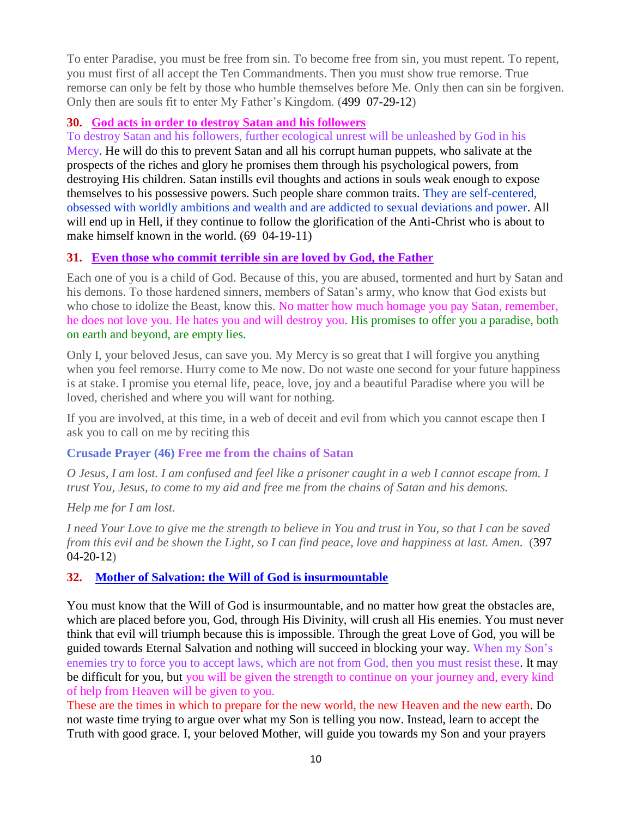To enter Paradise, you must be free from sin. To become free from sin, you must repent. To repent, you must first of all accept the Ten Commandments. Then you must show true remorse. True remorse can only be felt by those who humble themselves before Me. Only then can sin be forgiven. Only then are souls fit to enter My Father's Kingdom. (499 07-29-12)

#### **30. God acts in order to destroy Satan and his followers**

To destroy Satan and his followers, further ecological unrest will be unleashed by God in his Mercy. He will do this to prevent Satan and all his corrupt human puppets, who salivate at the prospects of the riches and glory he promises them through his psychological powers, from destroying His children. Satan instills evil thoughts and actions in souls weak enough to expose themselves to his possessive powers. Such people share common traits. They are self-centered, obsessed with worldly ambitions and wealth and are addicted to sexual deviations and power. All will end up in Hell, if they continue to follow the glorification of the Anti-Christ who is about to make himself known in the world. (69 04-19-11)

#### **31. [Even those who commit terrible sin are loved by God, the Father](http://www.thewarningsecondcoming.com/even-those-who-commit-terrible-sin-are-loved-by-god-the-father/)**

Each one of you is a child of God. Because of this, you are abused, tormented and hurt by Satan and his demons. To those hardened sinners, members of Satan's army, who know that God exists but who chose to idolize the Beast, know this. No matter how much homage you pay Satan, remember, he does not love you. He hates you and will destroy you. His promises to offer you a paradise, both on earth and beyond, are empty lies.

Only I, your beloved Jesus, can save you. My Mercy is so great that I will forgive you anything when you feel remorse. Hurry come to Me now. Do not waste one second for your future happiness is at stake. I promise you eternal life, peace, love, joy and a beautiful Paradise where you will be loved, cherished and where you will want for nothing.

If you are involved, at this time, in a web of deceit and evil from which you cannot escape then I ask you to call on me by reciting this

#### **Crusade Prayer (46) Free me from the chains of Satan**

*O Jesus, I am lost. I am confused and feel like a prisoner caught in a web I cannot escape from. I trust You, Jesus, to come to my aid and free me from the chains of Satan and his demons.*

#### *Help me for I am lost.*

*I need Your Love to give me the strength to believe in You and trust in You, so that I can be saved from this evil and be shown the Light, so I can find peace, love and happiness at last. Amen.* (397 04-20-12)

#### **32. [Mother of Salvation: the Will of God is insurmountable](http://www.thewarningsecondcoming.com/mother-of-salvation-the-will-of-god-is-insurmountable/)**

You must know that the Will of God is insurmountable, and no matter how great the obstacles are, which are placed before you, God, through His Divinity, will crush all His enemies. You must never think that evil will triumph because this is impossible. Through the great Love of God, you will be guided towards Eternal Salvation and nothing will succeed in blocking your way. When my Son's enemies try to force you to accept laws, which are not from God, then you must resist these. It may be difficult for you, but you will be given the strength to continue on your journey and, every kind of help from Heaven will be given to you.

These are the times in which to prepare for the new world, the new Heaven and the new earth. Do not waste time trying to argue over what my Son is telling you now. Instead, learn to accept the Truth with good grace. I, your beloved Mother, will guide you towards my Son and your prayers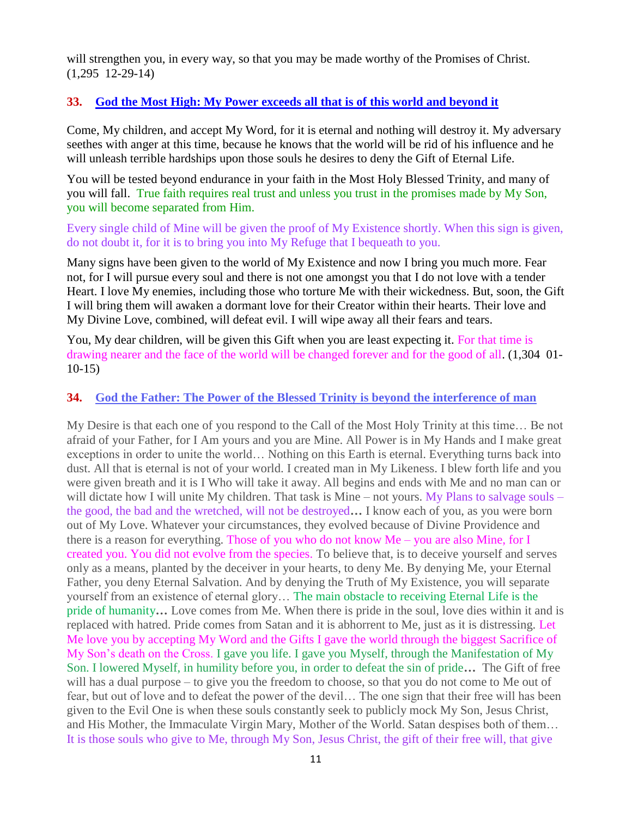will strengthen you, in every way, so that you may be made worthy of the Promises of Christ. (1,295 12-29-14)

#### **33. God the Most High: My Power [exceeds all that is of this world and beyond it](http://www.thewarningsecondcoming.com/god-the-most-high-my-power-exceeds-all-that-is-of-this-world-and-beyond-it/)**

Come, My children, and accept My Word, for it is eternal and nothing will destroy it. My adversary seethes with anger at this time, because he knows that the world will be rid of his influence and he will unleash terrible hardships upon those souls he desires to deny the Gift of Eternal Life.

You will be tested beyond endurance in your faith in the Most Holy Blessed Trinity, and many of you will fall. True faith requires real trust and unless you trust in the promises made by My Son, you will become separated from Him.

Every single child of Mine will be given the proof of My Existence shortly. When this sign is given, do not doubt it, for it is to bring you into My Refuge that I bequeath to you.

Many signs have been given to the world of My Existence and now I bring you much more. Fear not, for I will pursue every soul and there is not one amongst you that I do not love with a tender Heart. I love My enemies, including those who torture Me with their wickedness. But, soon, the Gift I will bring them will awaken a dormant love for their Creator within their hearts. Their love and My Divine Love, combined, will defeat evil. I will wipe away all their fears and tears.

You, My dear children, will be given this Gift when you are least expecting it. For that time is drawing nearer and the face of the world will be changed forever and for the good of all. (1,304 01- 10-15)

#### **34. [God the Father: The Power of the Blessed Trinity is beyond the interference of man](http://www.thewarningsecondcoming.com/god-the-father-the-power-of-the-blessed-trinity-is-beyond-the-interference-of-man-2/)**

My Desire is that each one of you respond to the Call of the Most Holy Trinity at this time… Be not afraid of your Father, for I Am yours and you are Mine. All Power is in My Hands and I make great exceptions in order to unite the world… Nothing on this Earth is eternal. Everything turns back into dust. All that is eternal is not of your world. I created man in My Likeness. I blew forth life and you were given breath and it is I Who will take it away. All begins and ends with Me and no man can or will dictate how I will unite My children. That task is Mine – not yours. My Plans to salvage souls – the good, the bad and the wretched, will not be destroyed**…** I know each of you, as you were born out of My Love. Whatever your circumstances, they evolved because of Divine Providence and there is a reason for everything. Those of you who do not know  $Me - you$  are also Mine, for I created you. You did not evolve from the species. To believe that, is to deceive yourself and serves only as a means, planted by the deceiver in your hearts, to deny Me. By denying Me, your Eternal Father, you deny Eternal Salvation. And by denying the Truth of My Existence, you will separate yourself from an existence of eternal glory… The main obstacle to receiving Eternal Life is the pride of humanity**…** Love comes from Me. When there is pride in the soul, love dies within it and is replaced with hatred. Pride comes from Satan and it is abhorrent to Me, just as it is distressing. Let Me love you by accepting My Word and the Gifts I gave the world through the biggest Sacrifice of My Son's death on the Cross. I gave you life. I gave you Myself, through the Manifestation of My Son. I lowered Myself, in humility before you, in order to defeat the sin of pride**…** The Gift of free will has a dual purpose – to give you the freedom to choose, so that you do not come to Me out of fear, but out of love and to defeat the power of the devil… The one sign that their free will has been given to the Evil One is when these souls constantly seek to publicly mock My Son, Jesus Christ, and His Mother, the Immaculate Virgin Mary, Mother of the World. Satan despises both of them… It is those souls who give to Me, through My Son, Jesus Christ, the gift of their free will, that give